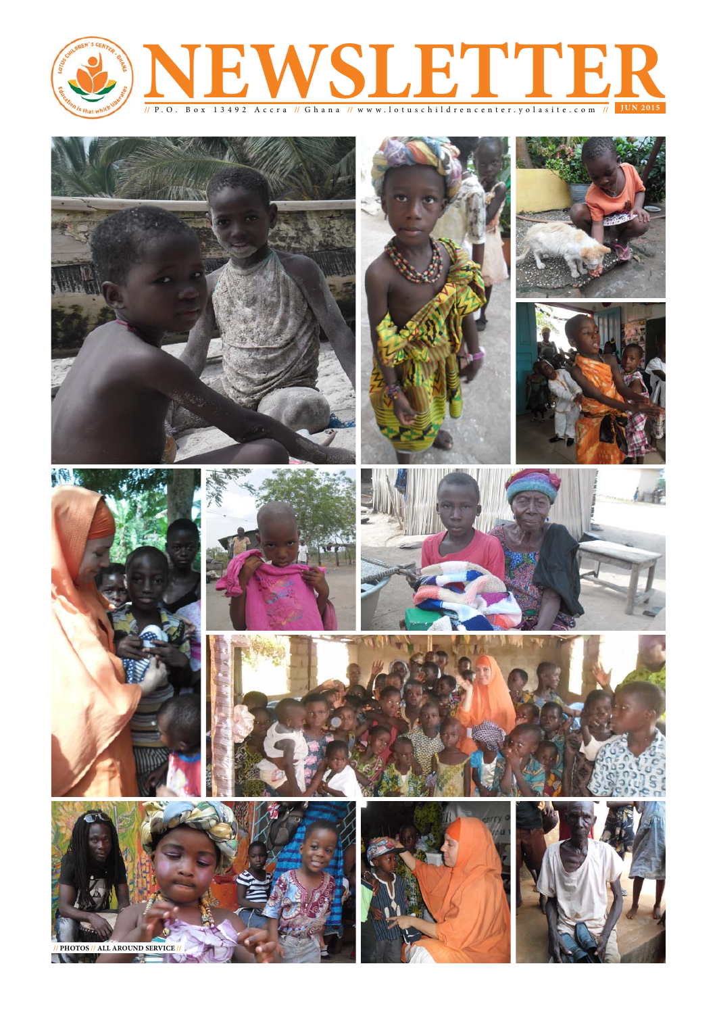

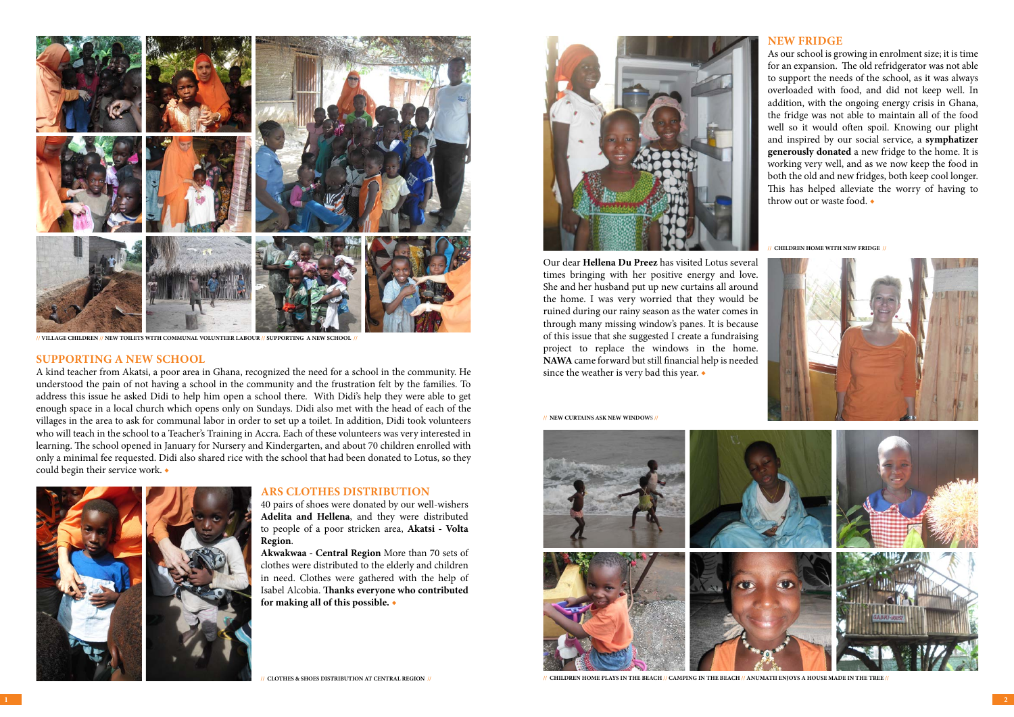### **Supporting a New School**

A kind teacher from Akatsi, a poor area in Ghana, recognized the need for a school in the community. He understood the pain of not having a school in the community and the frustration felt by the families. To address this issue he asked Didi to help him open a school there. With Didi's help they were able to get enough space in a local church which opens only on Sundays. Didi also met with the head of each of the villages in the area to ask for communal labor in order to set up a toilet. In addition, Didi took volunteers who will teach in the school to a Teacher's Training in Accra. Each of these volunteers was very interested in learning. The school opened in January for Nursery and Kindergarten, and about 70 children enrolled with only a minimal fee requested. Didi also shared rice with the school that had been donated to Lotus, so they could begin their service work. ◆



#### **New Fridge**

As our school is growing in enrolment size; it is time for an expansion. The old refridgerator was not able to support the needs of the school, as it was always overloaded with food, and did not keep well. In addition, with the ongoing energy crisis in Ghana, the fridge was not able to maintain all of the food well so it would often spoil. Knowing our plight and inspired by our social service, a **symphatizer generously donated** a new fridge to the home. It is working very well, and as we now keep the food in both the old and new fridges, both keep cool longer. This has helped alleviate the worry of having to throw out or waste food. ◆

**// CHILDREN HOME WITH NEW FRIDGE //**



Our dear **Hellena Du Preez** has visited Lotus several times bringing with her positive energy and love. She and her husband put up new curtains all around the home. I was very worried that they would be ruined during our rainy season as the water comes in through many missing window's panes. It is because of this issue that she suggested I create a fundraising project to replace the windows in the home. **NAWA** came forward but still financial help is needed since the weather is very bad this year. ◆

**// NEW CURTAINS ASK NEW WINDOWS //**





**// VILLAGE CHILDREN // NEW TOILETS WITH COMMUNAL VOLUNTEER LABOUR // SUPPORTING A NEW SCHOOL //**

**// CLOTHES & SHOES DISTRIBUTION AT CENTRAL REGION //**



#### **ARS Clothes Distribution**

40 pairs of shoes were donated by our well-wishers **Adelita and Hellena**, and they were distributed to people of a poor stricken area, **Akatsi - Volta Region**.

**Akwakwaa - Central Region** More than 70 sets of clothes were distributed to the elderly and children in need. Clothes were gathered with the help of Isabel Alcobia. **Thanks everyone who contributed for making all of this possible.** ◆

**// Children Home plays in the beach // Camping in the beach // Anumatii enjoys a house made in the tree //**